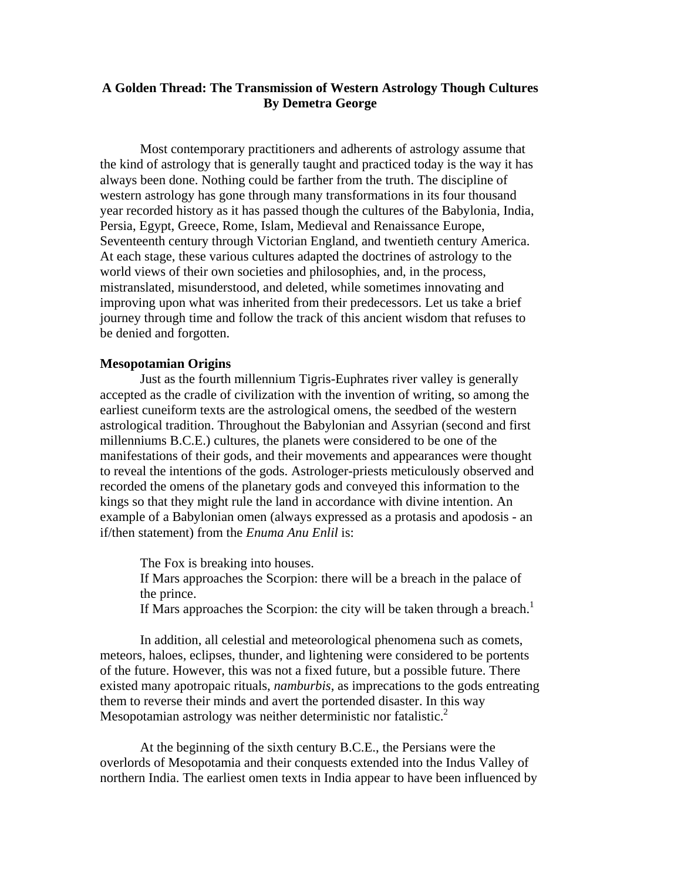# **A Golden Thread: The Transmission of Western Astrology Though Cultures By Demetra George**

Most contemporary practitioners and adherents of astrology assume that the kind of astrology that is generally taught and practiced today is the way it has always been done. Nothing could be farther from the truth. The discipline of western astrology has gone through many transformations in its four thousand year recorded history as it has passed though the cultures of the Babylonia, India, Persia, Egypt, Greece, Rome, Islam, Medieval and Renaissance Europe, Seventeenth century through Victorian England, and twentieth century America. At each stage, these various cultures adapted the doctrines of astrology to the world views of their own societies and philosophies, and, in the process, mistranslated, misunderstood, and deleted, while sometimes innovating and improving upon what was inherited from their predecessors. Let us take a brief journey through time and follow the track of this ancient wisdom that refuses to be denied and forgotten.

#### **Mesopotamian Origins**

Just as the fourth millennium Tigris-Euphrates river valley is generally accepted as the cradle of civilization with the invention of writing, so among the earliest cuneiform texts are the astrological omens, the seedbed of the western astrological tradition. Throughout the Babylonian and Assyrian (second and first millenniums B.C.E.) cultures, the planets were considered to be one of the manifestations of their gods, and their movements and appearances were thought to reveal the intentions of the gods. Astrologer-priests meticulously observed and recorded the omens of the planetary gods and conveyed this information to the kings so that they might rule the land in accordance with divine intention. An example of a Babylonian omen (always expressed as a protasis and apodosis - an if/then statement) from the *Enuma Anu Enlil* is:

The Fox is breaking into houses. If Mars approaches the Scorpion: there will be a breach in the palace of the prince. If Mars approaches the Scorpion: the city will be taken through a breach.<sup>1</sup>

In addition, all celestial and meteorological phenomena such as comets, meteors, haloes, eclipses, thunder, and lightening were considered to be portents of the future. However, this was not a fixed future, but a possible future. There existed many apotropaic rituals, *namburbis*, as imprecations to the gods entreating them to reverse their minds and avert the portended disaster. In this way Mesopotamian astrology was neither deterministic nor fatalistic.<sup>2</sup>

At the beginning of the sixth century B.C.E., the Persians were the overlords of Mesopotamia and their conquests extended into the Indus Valley of northern India. The earliest omen texts in India appear to have been influenced by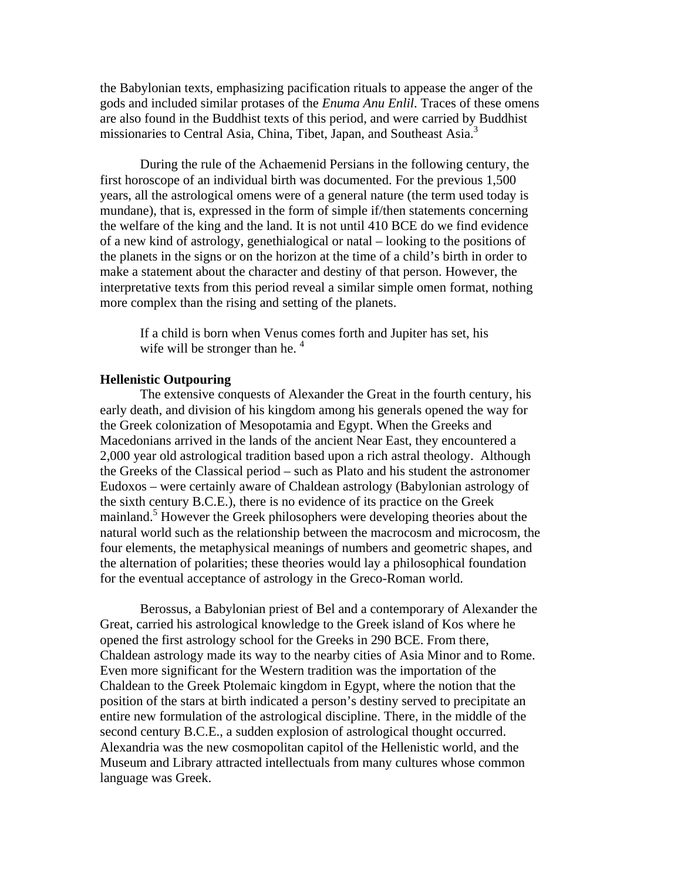the Babylonian texts, emphasizing pacification rituals to appease the anger of the gods and included similar protases of the *Enuma Anu Enlil*. Traces of these omens are also found in the Buddhist texts of this period, and were carried by Buddhist missionaries to Central Asia, China, Tibet, Japan, and Southeast Asia.<sup>3</sup>

During the rule of the Achaemenid Persians in the following century, the first horoscope of an individual birth was documented. For the previous 1,500 years, all the astrological omens were of a general nature (the term used today is mundane), that is, expressed in the form of simple if/then statements concerning the welfare of the king and the land. It is not until 410 BCE do we find evidence of a new kind of astrology, genethialogical or natal – looking to the positions of the planets in the signs or on the horizon at the time of a child's birth in order to make a statement about the character and destiny of that person. However, the interpretative texts from this period reveal a similar simple omen format, nothing more complex than the rising and setting of the planets.

If a child is born when Venus comes forth and Jupiter has set, his wife will be stronger than he.  $4\overline{ }$ 

# **Hellenistic Outpouring**

The extensive conquests of Alexander the Great in the fourth century, his early death, and division of his kingdom among his generals opened the way for the Greek colonization of Mesopotamia and Egypt. When the Greeks and Macedonians arrived in the lands of the ancient Near East, they encountered a 2,000 year old astrological tradition based upon a rich astral theology. Although the Greeks of the Classical period – such as Plato and his student the astronomer Eudoxos – were certainly aware of Chaldean astrology (Babylonian astrology of the sixth century B.C.E.), there is no evidence of its practice on the Greek mainland.<sup>5</sup> However the Greek philosophers were developing theories about the natural world such as the relationship between the macrocosm and microcosm, the four elements, the metaphysical meanings of numbers and geometric shapes, and the alternation of polarities; these theories would lay a philosophical foundation for the eventual acceptance of astrology in the Greco-Roman world.

 Berossus, a Babylonian priest of Bel and a contemporary of Alexander the Great, carried his astrological knowledge to the Greek island of Kos where he opened the first astrology school for the Greeks in 290 BCE. From there, Chaldean astrology made its way to the nearby cities of Asia Minor and to Rome. Even more significant for the Western tradition was the importation of the Chaldean to the Greek Ptolemaic kingdom in Egypt, where the notion that the position of the stars at birth indicated a person's destiny served to precipitate an entire new formulation of the astrological discipline. There, in the middle of the second century B.C.E., a sudden explosion of astrological thought occurred. Alexandria was the new cosmopolitan capitol of the Hellenistic world, and the Museum and Library attracted intellectuals from many cultures whose common language was Greek.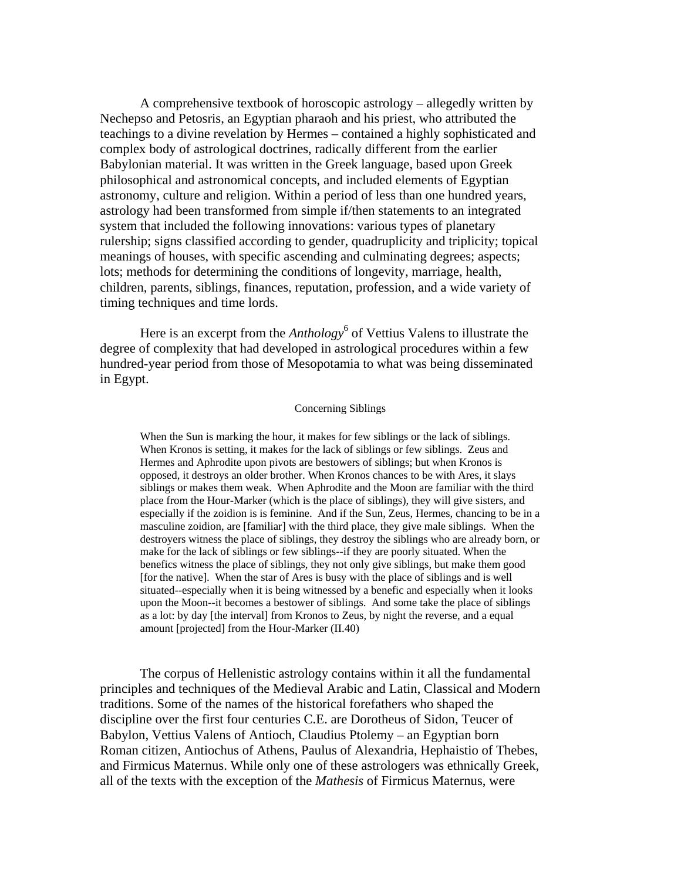A comprehensive textbook of horoscopic astrology – allegedly written by Nechepso and Petosris, an Egyptian pharaoh and his priest, who attributed the teachings to a divine revelation by Hermes – contained a highly sophisticated and complex body of astrological doctrines, radically different from the earlier Babylonian material. It was written in the Greek language, based upon Greek philosophical and astronomical concepts, and included elements of Egyptian astronomy, culture and religion. Within a period of less than one hundred years, astrology had been transformed from simple if/then statements to an integrated system that included the following innovations: various types of planetary rulership; signs classified according to gender, quadruplicity and triplicity; topical meanings of houses, with specific ascending and culminating degrees; aspects; lots; methods for determining the conditions of longevity, marriage, health, children, parents, siblings, finances, reputation, profession, and a wide variety of timing techniques and time lords.

Here is an excerpt from the *Anthology*<sup>6</sup> of Vettius Valens to illustrate the degree of complexity that had developed in astrological procedures within a few hundred-year period from those of Mesopotamia to what was being disseminated in Egypt.

#### Concerning Siblings

When the Sun is marking the hour, it makes for few siblings or the lack of siblings. When Kronos is setting, it makes for the lack of siblings or few siblings. Zeus and Hermes and Aphrodite upon pivots are bestowers of siblings; but when Kronos is opposed, it destroys an older brother. When Kronos chances to be with Ares, it slays siblings or makes them weak. When Aphrodite and the Moon are familiar with the third place from the Hour-Marker (which is the place of siblings), they will give sisters, and especially if the zoidion is is feminine. And if the Sun, Zeus, Hermes, chancing to be in a masculine zoidion, are [familiar] with the third place, they give male siblings. When the destroyers witness the place of siblings, they destroy the siblings who are already born, or make for the lack of siblings or few siblings--if they are poorly situated. When the benefics witness the place of siblings, they not only give siblings, but make them good [for the native]. When the star of Ares is busy with the place of siblings and is well situated--especially when it is being witnessed by a benefic and especially when it looks upon the Moon--it becomes a bestower of siblings. And some take the place of siblings as a lot: by day [the interval] from Kronos to Zeus, by night the reverse, and a equal amount [projected] from the Hour-Marker (II.40)

The corpus of Hellenistic astrology contains within it all the fundamental principles and techniques of the Medieval Arabic and Latin, Classical and Modern traditions. Some of the names of the historical forefathers who shaped the discipline over the first four centuries C.E. are Dorotheus of Sidon, Teucer of Babylon, Vettius Valens of Antioch, Claudius Ptolemy – an Egyptian born Roman citizen, Antiochus of Athens, Paulus of Alexandria, Hephaistio of Thebes, and Firmicus Maternus. While only one of these astrologers was ethnically Greek, all of the texts with the exception of the *Mathesis* of Firmicus Maternus, were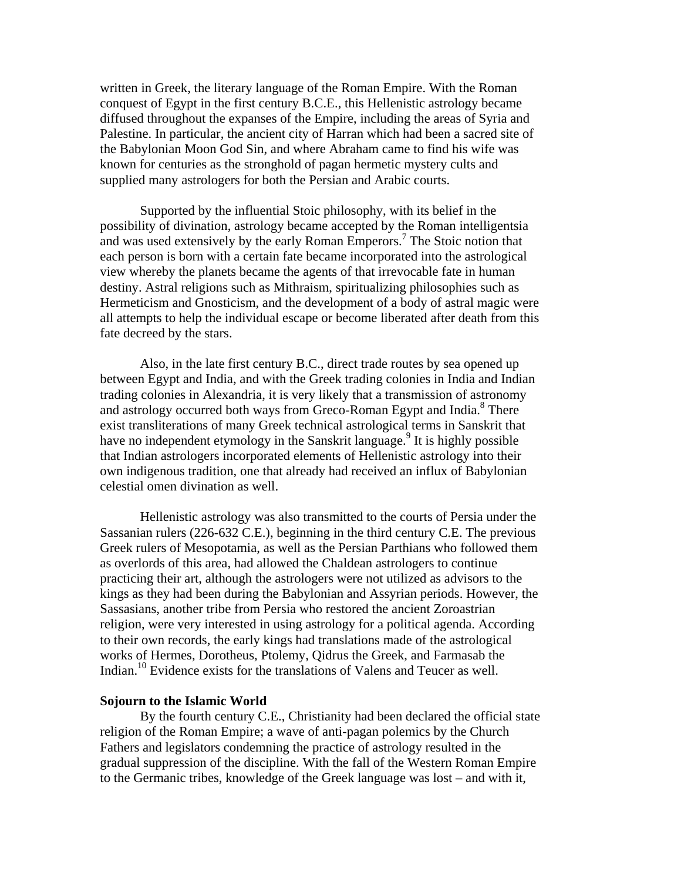written in Greek, the literary language of the Roman Empire. With the Roman conquest of Egypt in the first century B.C.E., this Hellenistic astrology became diffused throughout the expanses of the Empire, including the areas of Syria and Palestine. In particular, the ancient city of Harran which had been a sacred site of the Babylonian Moon God Sin, and where Abraham came to find his wife was known for centuries as the stronghold of pagan hermetic mystery cults and supplied many astrologers for both the Persian and Arabic courts.

Supported by the influential Stoic philosophy, with its belief in the possibility of divination, astrology became accepted by the Roman intelligentsia and was used extensively by the early Roman Emperors.<sup>7</sup> The Stoic notion that each person is born with a certain fate became incorporated into the astrological view whereby the planets became the agents of that irrevocable fate in human destiny. Astral religions such as Mithraism, spiritualizing philosophies such as Hermeticism and Gnosticism, and the development of a body of astral magic were all attempts to help the individual escape or become liberated after death from this fate decreed by the stars.

Also, in the late first century B.C., direct trade routes by sea opened up between Egypt and India, and with the Greek trading colonies in India and Indian trading colonies in Alexandria, it is very likely that a transmission of astronomy and astrology occurred both ways from Greco-Roman Egypt and India.<sup>8</sup> There exist transliterations of many Greek technical astrological terms in Sanskrit that have no independent etymology in the Sanskrit language.<sup>9</sup> It is highly possible that Indian astrologers incorporated elements of Hellenistic astrology into their own indigenous tradition, one that already had received an influx of Babylonian celestial omen divination as well.

Hellenistic astrology was also transmitted to the courts of Persia under the Sassanian rulers (226-632 C.E.), beginning in the third century C.E. The previous Greek rulers of Mesopotamia, as well as the Persian Parthians who followed them as overlords of this area, had allowed the Chaldean astrologers to continue practicing their art, although the astrologers were not utilized as advisors to the kings as they had been during the Babylonian and Assyrian periods. However, the Sassasians, another tribe from Persia who restored the ancient Zoroastrian religion, were very interested in using astrology for a political agenda. According to their own records, the early kings had translations made of the astrological works of Hermes, Dorotheus, Ptolemy, Qidrus the Greek, and Farmasab the Indian.10 Evidence exists for the translations of Valens and Teucer as well.

#### **Sojourn to the Islamic World**

By the fourth century C.E., Christianity had been declared the official state religion of the Roman Empire; a wave of anti-pagan polemics by the Church Fathers and legislators condemning the practice of astrology resulted in the gradual suppression of the discipline. With the fall of the Western Roman Empire to the Germanic tribes, knowledge of the Greek language was lost – and with it,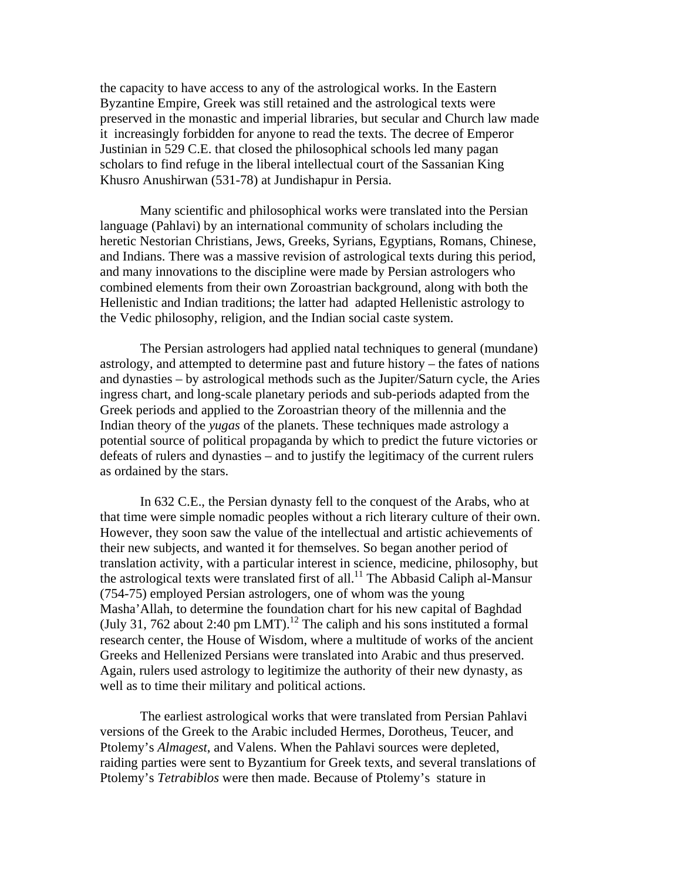the capacity to have access to any of the astrological works. In the Eastern Byzantine Empire, Greek was still retained and the astrological texts were preserved in the monastic and imperial libraries, but secular and Church law made it increasingly forbidden for anyone to read the texts. The decree of Emperor Justinian in 529 C.E. that closed the philosophical schools led many pagan scholars to find refuge in the liberal intellectual court of the Sassanian King Khusro Anushirwan (531-78) at Jundishapur in Persia.

Many scientific and philosophical works were translated into the Persian language (Pahlavi) by an international community of scholars including the heretic Nestorian Christians, Jews, Greeks, Syrians, Egyptians, Romans, Chinese, and Indians. There was a massive revision of astrological texts during this period, and many innovations to the discipline were made by Persian astrologers who combined elements from their own Zoroastrian background, along with both the Hellenistic and Indian traditions; the latter had adapted Hellenistic astrology to the Vedic philosophy, religion, and the Indian social caste system.

The Persian astrologers had applied natal techniques to general (mundane) astrology, and attempted to determine past and future history – the fates of nations and dynasties – by astrological methods such as the Jupiter/Saturn cycle, the Aries ingress chart, and long-scale planetary periods and sub-periods adapted from the Greek periods and applied to the Zoroastrian theory of the millennia and the Indian theory of the *yugas* of the planets. These techniques made astrology a potential source of political propaganda by which to predict the future victories or defeats of rulers and dynasties – and to justify the legitimacy of the current rulers as ordained by the stars.

In 632 C.E., the Persian dynasty fell to the conquest of the Arabs, who at that time were simple nomadic peoples without a rich literary culture of their own. However, they soon saw the value of the intellectual and artistic achievements of their new subjects, and wanted it for themselves. So began another period of translation activity, with a particular interest in science, medicine, philosophy, but the astrological texts were translated first of all.<sup>11</sup> The Abbasid Caliph al-Mansur (754-75) employed Persian astrologers, one of whom was the young Masha'Allah, to determine the foundation chart for his new capital of Baghdad (July 31, 762 about 2:40 pm LMT).<sup>12</sup> The caliph and his sons instituted a formal research center, the House of Wisdom, where a multitude of works of the ancient Greeks and Hellenized Persians were translated into Arabic and thus preserved. Again, rulers used astrology to legitimize the authority of their new dynasty, as well as to time their military and political actions.

The earliest astrological works that were translated from Persian Pahlavi versions of the Greek to the Arabic included Hermes, Dorotheus, Teucer, and Ptolemy's *Almagest*, and Valens. When the Pahlavi sources were depleted, raiding parties were sent to Byzantium for Greek texts, and several translations of Ptolemy's *Tetrabiblos* were then made. Because of Ptolemy's stature in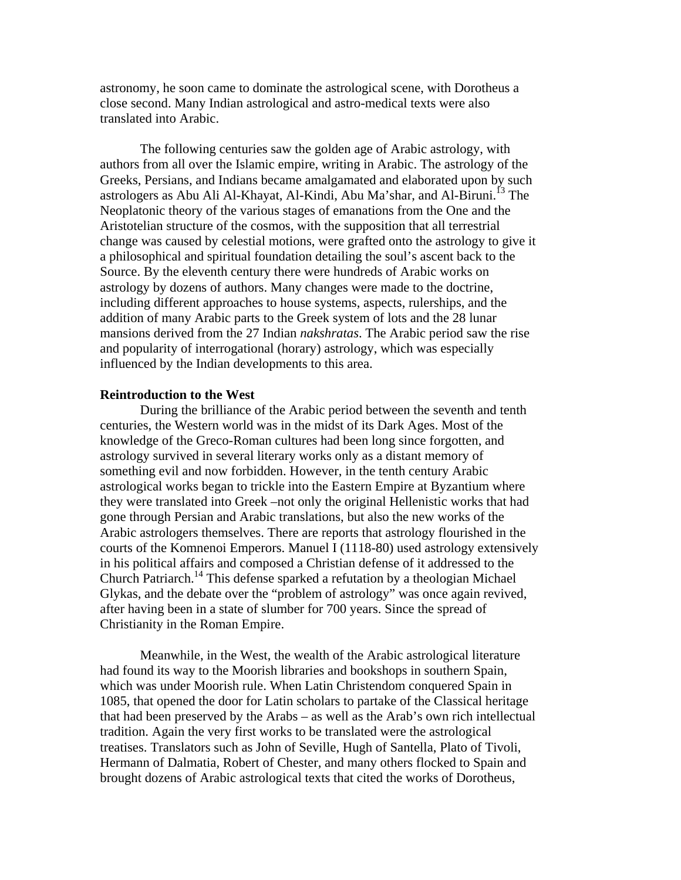astronomy, he soon came to dominate the astrological scene, with Dorotheus a close second. Many Indian astrological and astro-medical texts were also translated into Arabic.

The following centuries saw the golden age of Arabic astrology, with authors from all over the Islamic empire, writing in Arabic. The astrology of the Greeks, Persians, and Indians became amalgamated and elaborated upon by such astrologers as Abu Ali Al-Khayat, Al-Kindi, Abu Ma'shar, and Al-Biruni.<sup>13</sup> The Neoplatonic theory of the various stages of emanations from the One and the Aristotelian structure of the cosmos, with the supposition that all terrestrial change was caused by celestial motions, were grafted onto the astrology to give it a philosophical and spiritual foundation detailing the soul's ascent back to the Source. By the eleventh century there were hundreds of Arabic works on astrology by dozens of authors. Many changes were made to the doctrine, including different approaches to house systems, aspects, rulerships, and the addition of many Arabic parts to the Greek system of lots and the 28 lunar mansions derived from the 27 Indian *nakshratas*. The Arabic period saw the rise and popularity of interrogational (horary) astrology, which was especially influenced by the Indian developments to this area.

### **Reintroduction to the West**

During the brilliance of the Arabic period between the seventh and tenth centuries, the Western world was in the midst of its Dark Ages. Most of the knowledge of the Greco-Roman cultures had been long since forgotten, and astrology survived in several literary works only as a distant memory of something evil and now forbidden. However, in the tenth century Arabic astrological works began to trickle into the Eastern Empire at Byzantium where they were translated into Greek –not only the original Hellenistic works that had gone through Persian and Arabic translations, but also the new works of the Arabic astrologers themselves. There are reports that astrology flourished in the courts of the Komnenoi Emperors. Manuel I (1118-80) used astrology extensively in his political affairs and composed a Christian defense of it addressed to the Church Patriarch.14 This defense sparked a refutation by a theologian Michael Glykas, and the debate over the "problem of astrology" was once again revived, after having been in a state of slumber for 700 years. Since the spread of Christianity in the Roman Empire.

Meanwhile, in the West, the wealth of the Arabic astrological literature had found its way to the Moorish libraries and bookshops in southern Spain, which was under Moorish rule. When Latin Christendom conquered Spain in 1085, that opened the door for Latin scholars to partake of the Classical heritage that had been preserved by the Arabs – as well as the Arab's own rich intellectual tradition. Again the very first works to be translated were the astrological treatises. Translators such as John of Seville, Hugh of Santella, Plato of Tivoli, Hermann of Dalmatia, Robert of Chester, and many others flocked to Spain and brought dozens of Arabic astrological texts that cited the works of Dorotheus,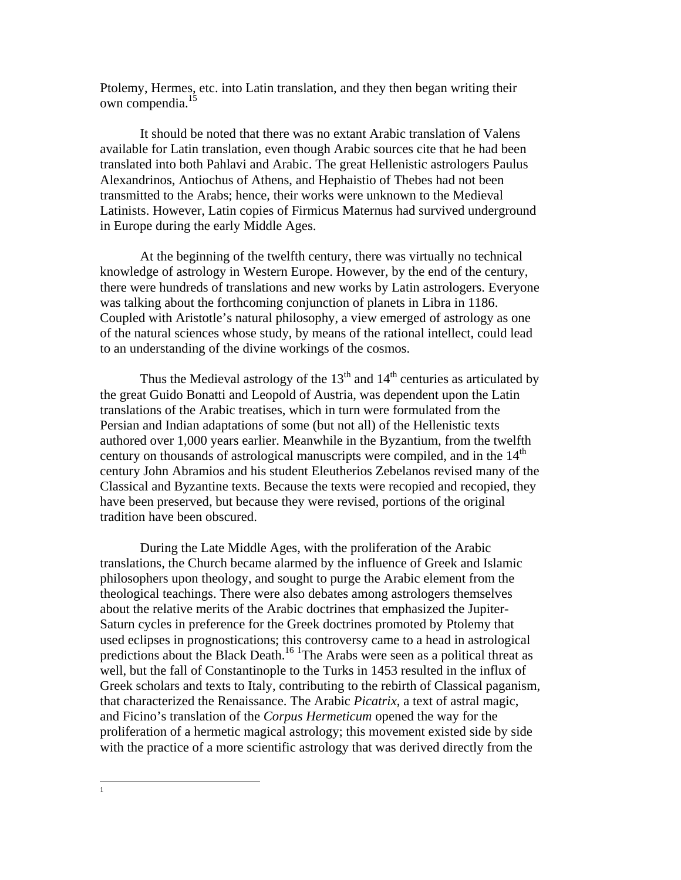Ptolemy, Hermes, etc. into Latin translation, and they then began writing their own compendia.15

It should be noted that there was no extant Arabic translation of Valens available for Latin translation, even though Arabic sources cite that he had been translated into both Pahlavi and Arabic. The great Hellenistic astrologers Paulus Alexandrinos, Antiochus of Athens, and Hephaistio of Thebes had not been transmitted to the Arabs; hence, their works were unknown to the Medieval Latinists. However, Latin copies of Firmicus Maternus had survived underground in Europe during the early Middle Ages.

At the beginning of the twelfth century, there was virtually no technical knowledge of astrology in Western Europe. However, by the end of the century, there were hundreds of translations and new works by Latin astrologers. Everyone was talking about the forthcoming conjunction of planets in Libra in 1186. Coupled with Aristotle's natural philosophy, a view emerged of astrology as one of the natural sciences whose study, by means of the rational intellect, could lead to an understanding of the divine workings of the cosmos.

Thus the Medieval astrology of the  $13<sup>th</sup>$  and  $14<sup>th</sup>$  centuries as articulated by the great Guido Bonatti and Leopold of Austria, was dependent upon the Latin translations of the Arabic treatises, which in turn were formulated from the Persian and Indian adaptations of some (but not all) of the Hellenistic texts authored over 1,000 years earlier. Meanwhile in the Byzantium, from the twelfth century on thousands of astrological manuscripts were compiled, and in the  $14<sup>th</sup>$ century John Abramios and his student Eleutherios Zebelanos revised many of the Classical and Byzantine texts. Because the texts were recopied and recopied, they have been preserved, but because they were revised, portions of the original tradition have been obscured.

During the Late Middle Ages, with the proliferation of the Arabic translations, the Church became alarmed by the influence of Greek and Islamic philosophers upon theology, and sought to purge the Arabic element from the theological teachings. There were also debates among astrologers themselves about the relative merits of the Arabic doctrines that emphasized the Jupiter-Saturn cycles in preference for the Greek doctrines promoted by Ptolemy that used eclipses in prognostications; this controversy came to a head in astrological predictions about the Black Death.<sup>16</sup> <sup>1</sup>The Arabs were seen as a political threat as well, but the fall of Constantinople to the Turks in 1453 resulted in the influx of Greek scholars and texts to Italy, contributing to the rebirth of Classical paganism, that characterized the Renaissance. The Arabic *Picatrix*, a text of astral magic, and Ficino's translation of the *Corpus Hermeticum* opened the way for the proliferation of a hermetic magical astrology; this movement existed side by side with the practice of a more scientific astrology that was derived directly from the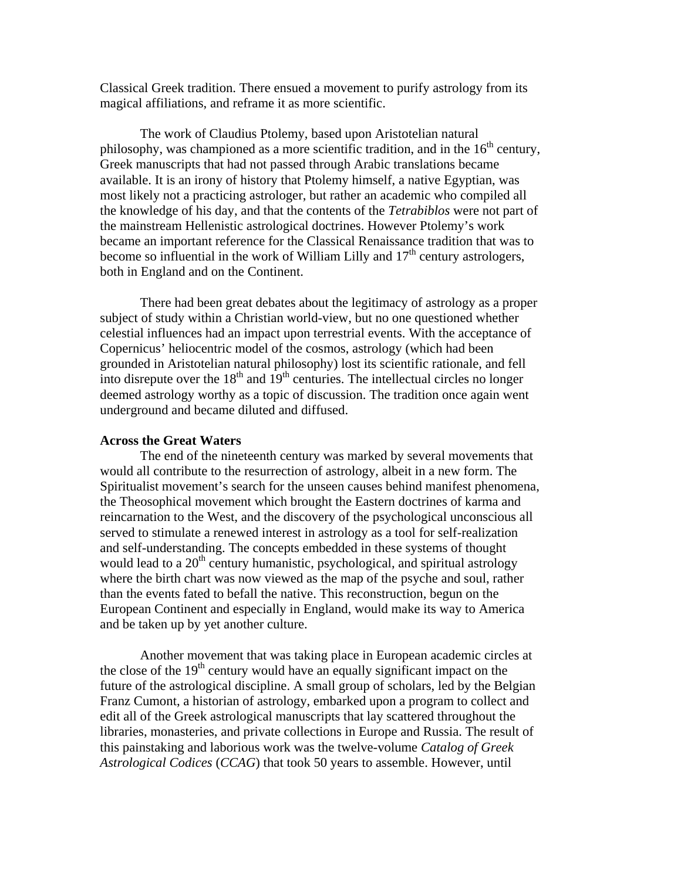Classical Greek tradition. There ensued a movement to purify astrology from its magical affiliations, and reframe it as more scientific.

The work of Claudius Ptolemy, based upon Aristotelian natural philosophy, was championed as a more scientific tradition, and in the  $16<sup>th</sup>$  century, Greek manuscripts that had not passed through Arabic translations became available. It is an irony of history that Ptolemy himself, a native Egyptian, was most likely not a practicing astrologer, but rather an academic who compiled all the knowledge of his day, and that the contents of the *Tetrabiblos* were not part of the mainstream Hellenistic astrological doctrines. However Ptolemy's work became an important reference for the Classical Renaissance tradition that was to become so influential in the work of William Lilly and  $17<sup>th</sup>$  century astrologers, both in England and on the Continent.

There had been great debates about the legitimacy of astrology as a proper subject of study within a Christian world-view, but no one questioned whether celestial influences had an impact upon terrestrial events. With the acceptance of Copernicus' heliocentric model of the cosmos, astrology (which had been grounded in Aristotelian natural philosophy) lost its scientific rationale, and fell into disrepute over the  $18<sup>th</sup>$  and  $19<sup>th</sup>$  centuries. The intellectual circles no longer deemed astrology worthy as a topic of discussion. The tradition once again went underground and became diluted and diffused.

## **Across the Great Waters**

The end of the nineteenth century was marked by several movements that would all contribute to the resurrection of astrology, albeit in a new form. The Spiritualist movement's search for the unseen causes behind manifest phenomena, the Theosophical movement which brought the Eastern doctrines of karma and reincarnation to the West, and the discovery of the psychological unconscious all served to stimulate a renewed interest in astrology as a tool for self-realization and self-understanding. The concepts embedded in these systems of thought would lead to a  $20<sup>th</sup>$  century humanistic, psychological, and spiritual astrology where the birth chart was now viewed as the map of the psyche and soul, rather than the events fated to befall the native. This reconstruction, begun on the European Continent and especially in England, would make its way to America and be taken up by yet another culture.

Another movement that was taking place in European academic circles at the close of the  $19<sup>th</sup>$  century would have an equally significant impact on the future of the astrological discipline. A small group of scholars, led by the Belgian Franz Cumont, a historian of astrology, embarked upon a program to collect and edit all of the Greek astrological manuscripts that lay scattered throughout the libraries, monasteries, and private collections in Europe and Russia. The result of this painstaking and laborious work was the twelve-volume *Catalog of Greek Astrological Codices* (*CCAG*) that took 50 years to assemble. However, until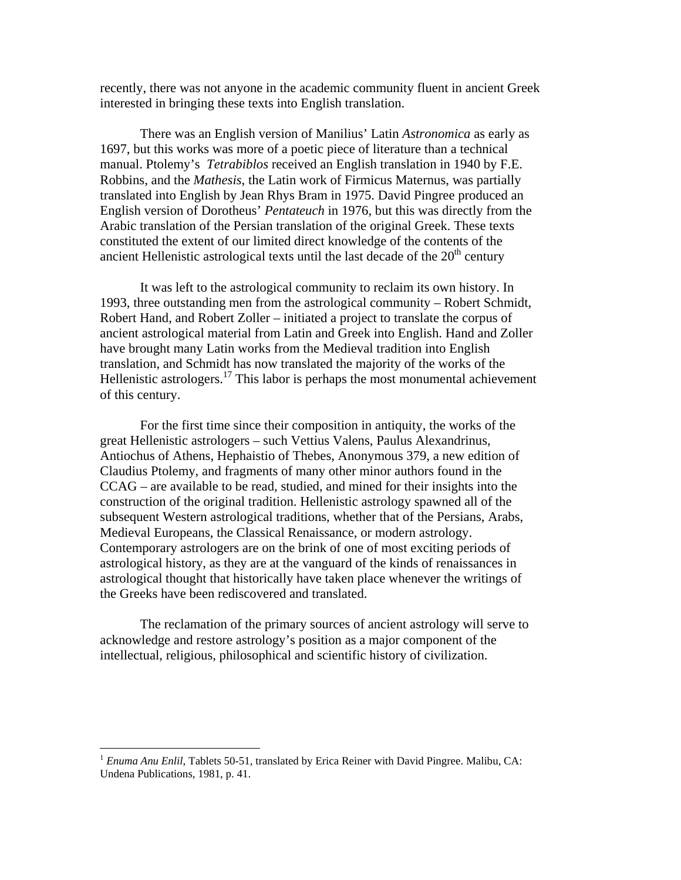recently, there was not anyone in the academic community fluent in ancient Greek interested in bringing these texts into English translation.

There was an English version of Manilius' Latin *Astronomica* as early as 1697, but this works was more of a poetic piece of literature than a technical manual. Ptolemy's *Tetrabiblos* received an English translation in 1940 by F.E. Robbins, and the *Mathesis*, the Latin work of Firmicus Maternus, was partially translated into English by Jean Rhys Bram in 1975. David Pingree produced an English version of Dorotheus' *Pentateuch* in 1976, but this was directly from the Arabic translation of the Persian translation of the original Greek. These texts constituted the extent of our limited direct knowledge of the contents of the ancient Hellenistic astrological texts until the last decade of the  $20<sup>th</sup>$  century

It was left to the astrological community to reclaim its own history. In 1993, three outstanding men from the astrological community – Robert Schmidt, Robert Hand, and Robert Zoller – initiated a project to translate the corpus of ancient astrological material from Latin and Greek into English. Hand and Zoller have brought many Latin works from the Medieval tradition into English translation, and Schmidt has now translated the majority of the works of the Hellenistic astrologers.<sup>17</sup> This labor is perhaps the most monumental achievement of this century.

For the first time since their composition in antiquity, the works of the great Hellenistic astrologers – such Vettius Valens, Paulus Alexandrinus, Antiochus of Athens, Hephaistio of Thebes, Anonymous 379, a new edition of Claudius Ptolemy, and fragments of many other minor authors found in the CCAG – are available to be read, studied, and mined for their insights into the construction of the original tradition. Hellenistic astrology spawned all of the subsequent Western astrological traditions, whether that of the Persians, Arabs, Medieval Europeans, the Classical Renaissance, or modern astrology. Contemporary astrologers are on the brink of one of most exciting periods of astrological history, as they are at the vanguard of the kinds of renaissances in astrological thought that historically have taken place whenever the writings of the Greeks have been rediscovered and translated.

The reclamation of the primary sources of ancient astrology will serve to acknowledge and restore astrology's position as a major component of the intellectual, religious, philosophical and scientific history of civilization.

 $\overline{a}$ 

<sup>1</sup> *Enuma Anu Enlil*, Tablets 50-51, translated by Erica Reiner with David Pingree. Malibu, CA: Undena Publications, 1981, p. 41.